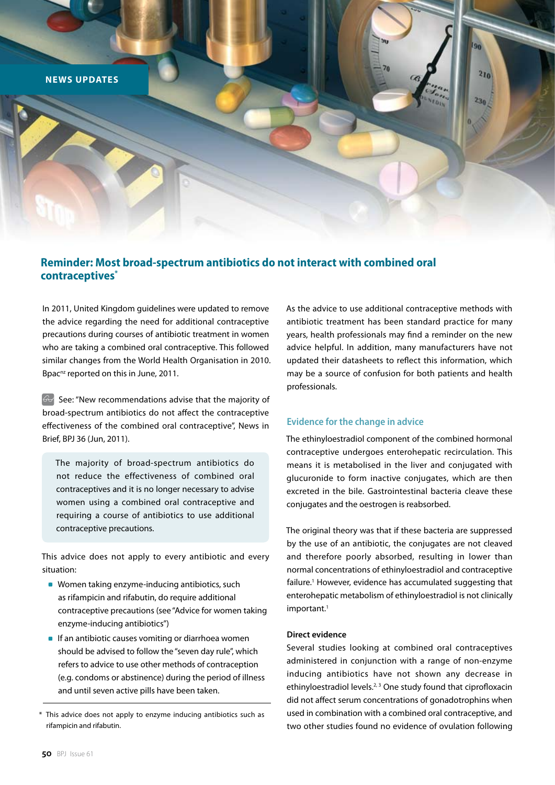

# **Reminder: Most broad-spectrum antibiotics do not interact with combined oral contraceptives\***

In 2011, United Kingdom guidelines were updated to remove the advice regarding the need for additional contraceptive precautions during courses of antibiotic treatment in women who are taking a combined oral contraceptive. This followed similar changes from the World Health Organisation in 2010. Bpac<sup>nz</sup> reported on this in June, 2011.

 $\Theta$  See: "New recommendations advise that the majority of broad-spectrum antibiotics do not affect the contraceptive effectiveness of the combined oral contraceptive", News in Brief, BPJ 36 (Jun, 2011).

The majority of broad-spectrum antibiotics do not reduce the effectiveness of combined oral contraceptives and it is no longer necessary to advise women using a combined oral contraceptive and requiring a course of antibiotics to use additional contraceptive precautions.

This advice does not apply to every antibiotic and every situation:

- Women taking enzyme-inducing antibiotics, such as rifampicin and rifabutin, do require additional contraceptive precautions (see "Advice for women taking enzyme-inducing antibiotics")
- **If an antibiotic causes vomiting or diarrhoea women** should be advised to follow the "seven day rule", which refers to advice to use other methods of contraception (e.g. condoms or abstinence) during the period of illness and until seven active pills have been taken.

As the advice to use additional contraceptive methods with antibiotic treatment has been standard practice for many years, health professionals may find a reminder on the new advice helpful. In addition, many manufacturers have not updated their datasheets to reflect this information, which may be a source of confusion for both patients and health professionals.

## **Evidence for the change in advice**

The ethinyloestradiol component of the combined hormonal contraceptive undergoes enterohepatic recirculation. This means it is metabolised in the liver and conjugated with glucuronide to form inactive conjugates, which are then excreted in the bile. Gastrointestinal bacteria cleave these conjugates and the oestrogen is reabsorbed.

The original theory was that if these bacteria are suppressed by the use of an antibiotic, the conjugates are not cleaved and therefore poorly absorbed, resulting in lower than normal concentrations of ethinyloestradiol and contraceptive failure.<sup>1</sup> However, evidence has accumulated suggesting that enterohepatic metabolism of ethinyloestradiol is not clinically important.<sup>1</sup>

## **Direct evidence**

Several studies looking at combined oral contraceptives administered in conjunction with a range of non-enzyme inducing antibiotics have not shown any decrease in ethinyloestradiol levels.<sup>2, 3</sup> One study found that ciprofloxacin did not affect serum concentrations of gonadotrophins when used in combination with a combined oral contraceptive, and two other studies found no evidence of ovulation following

<sup>\*</sup> This advice does not apply to enzyme inducing antibiotics such as rifampicin and rifabutin.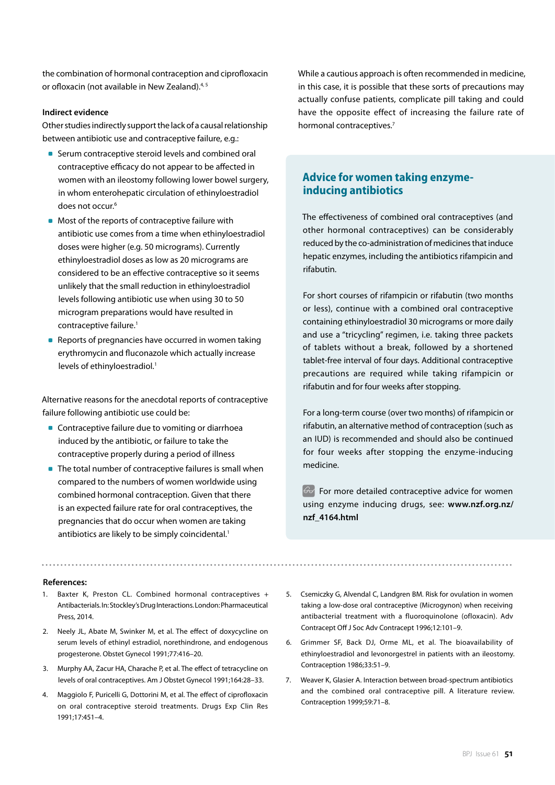the combination of hormonal contraception and ciprofloxacin or ofloxacin (not available in New Zealand).<sup>4,5</sup>

## **Indirect evidence**

Other studies indirectly support the lack of a causal relationship between antibiotic use and contraceptive failure, e.g.:

- Serum contraceptive steroid levels and combined oral contraceptive efficacy do not appear to be affected in women with an ileostomy following lower bowel surgery, in whom enterohepatic circulation of ethinyloestradiol does not occur.<sup>6</sup>
- Most of the reports of contraceptive failure with antibiotic use comes from a time when ethinyloestradiol doses were higher (e.g. 50 micrograms). Currently ethinyloestradiol doses as low as 20 micrograms are considered to be an effective contraceptive so it seems unlikely that the small reduction in ethinyloestradiol levels following antibiotic use when using 30 to 50 microgram preparations would have resulted in contraceptive failure.<sup>1</sup>
- Reports of pregnancies have occurred in women taking erythromycin and fluconazole which actually increase levels of ethinyloestradiol.<sup>1</sup>

Alternative reasons for the anecdotal reports of contraceptive failure following antibiotic use could be:

- **Contraceptive failure due to vomiting or diarrhoea** induced by the antibiotic, or failure to take the contraceptive properly during a period of illness
- The total number of contraceptive failures is small when compared to the numbers of women worldwide using combined hormonal contraception. Given that there is an expected failure rate for oral contraceptives, the pregnancies that do occur when women are taking antibiotics are likely to be simply coincidental.<sup>1</sup>

While a cautious approach is often recommended in medicine, in this case, it is possible that these sorts of precautions may actually confuse patients, complicate pill taking and could have the opposite effect of increasing the failure rate of hormonal contraceptives.<sup>7</sup>

# **Advice for women taking enzymeinducing antibiotics**

The effectiveness of combined oral contraceptives (and other hormonal contraceptives) can be considerably reduced by the co-administration of medicines that induce hepatic enzymes, including the antibiotics rifampicin and rifabutin.

For short courses of rifampicin or rifabutin (two months or less), continue with a combined oral contraceptive containing ethinyloestradiol 30 micrograms or more daily and use a "tricycling" regimen, i.e. taking three packets of tablets without a break, followed by a shortened tablet-free interval of four days. Additional contraceptive precautions are required while taking rifampicin or rifabutin and for four weeks after stopping.

For a long-term course (over two months) of rifampicin or rifabutin, an alternative method of contraception (such as an IUD) is recommended and should also be continued for four weeks after stopping the enzyme-inducing medicine.

 $\overline{\mathcal{G}}$  For more detailed contraceptive advice for women using enzyme inducing drugs, see: **www.nzf.org.nz/ nzf\_4164.html** 

#### **References:**

- 1. Baxter K, Preston CL. Combined hormonal contraceptives + Antibacterials. In: Stockley's Drug Interactions. London: Pharmaceutical Press, 2014.
- 2. Neely JL, Abate M, Swinker M, et al. The effect of doxycycline on serum levels of ethinyl estradiol, norethindrone, and endogenous progesterone. Obstet Gynecol 1991;77:416–20.
- 3. Murphy AA, Zacur HA, Charache P, et al. The effect of tetracycline on levels of oral contraceptives. Am J Obstet Gynecol 1991;164:28–33.
- 4. Maggiolo F, Puricelli G, Dottorini M, et al. The effect of ciprofloxacin on oral contraceptive steroid treatments. Drugs Exp Clin Res 1991;17:451–4.
- 5. Csemiczky G, Alvendal C, Landgren BM. Risk for ovulation in women taking a low-dose oral contraceptive (Microgynon) when receiving antibacterial treatment with a fluoroquinolone (ofloxacin). Adv Contracept Off J Soc Adv Contracept 1996;12:101–9.

- 6. Grimmer SF, Back DJ, Orme ML, et al. The bioavailability of ethinyloestradiol and levonorgestrel in patients with an ileostomy. Contraception 1986;33:51–9.
- 7. Weaver K, Glasier A. Interaction between broad-spectrum antibiotics and the combined oral contraceptive pill. A literature review. Contraception 1999;59:71–8.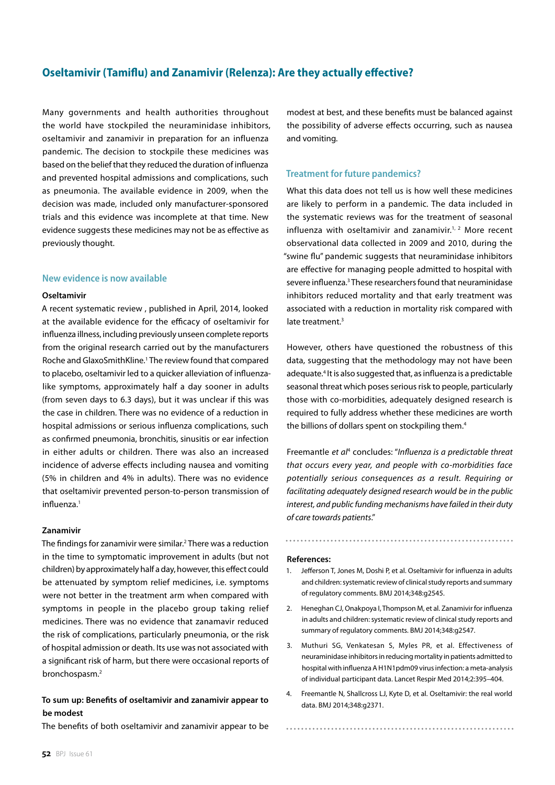# **Oseltamivir (Tamiflu) and Zanamivir (Relenza): Are they actually effective?**

Many governments and health authorities throughout the world have stockpiled the neuraminidase inhibitors, oseltamivir and zanamivir in preparation for an influenza pandemic. The decision to stockpile these medicines was based on the belief that they reduced the duration of influenza and prevented hospital admissions and complications, such as pneumonia. The available evidence in 2009, when the decision was made, included only manufacturer-sponsored trials and this evidence was incomplete at that time. New evidence suggests these medicines may not be as effective as previously thought.

## **New evidence is now available**

#### **Oseltamivir**

A recent systematic review , published in April, 2014, looked at the available evidence for the efficacy of oseltamivir for influenza illness, including previously unseen complete reports from the original research carried out by the manufacturers Roche and GlaxoSmithKline.<sup>1</sup> The review found that compared to placebo, oseltamivir led to a quicker alleviation of influenzalike symptoms, approximately half a day sooner in adults (from seven days to 6.3 days), but it was unclear if this was the case in children. There was no evidence of a reduction in hospital admissions or serious influenza complications, such as confirmed pneumonia, bronchitis, sinusitis or ear infection in either adults or children. There was also an increased incidence of adverse effects including nausea and vomiting (5% in children and 4% in adults). There was no evidence that oseltamivir prevented person-to-person transmission of influenza.<sup>1</sup>

#### **Zanamivir**

The findings for zanamivir were similar.<sup>2</sup> There was a reduction in the time to symptomatic improvement in adults (but not children) by approximately half a day, however, this effect could be attenuated by symptom relief medicines, i.e. symptoms were not better in the treatment arm when compared with symptoms in people in the placebo group taking relief medicines. There was no evidence that zanamavir reduced the risk of complications, particularly pneumonia, or the risk of hospital admission or death. Its use was not associated with a significant risk of harm, but there were occasional reports of bronchospasm.2

# **To sum up: Benefits of oseltamivir and zanamivir appear to be modest**

The benefits of both oseltamivir and zanamivir appear to be

modest at best, and these benefits must be balanced against the possibility of adverse effects occurring, such as nausea and vomiting.

## **Treatment for future pandemics?**

What this data does not tell us is how well these medicines are likely to perform in a pandemic. The data included in the systematic reviews was for the treatment of seasonal influenza with oseltamivir and zanamivir.<sup>1, 2</sup> More recent observational data collected in 2009 and 2010, during the "swine flu" pandemic suggests that neuraminidase inhibitors are effective for managing people admitted to hospital with severe influenza.<sup>3</sup> These researchers found that neuraminidase inhibitors reduced mortality and that early treatment was associated with a reduction in mortality risk compared with late treatment.<sup>3</sup>

However, others have questioned the robustness of this data, suggesting that the methodology may not have been adequate.<sup>4</sup> It is also suggested that, as influenza is a predictable seasonal threat which poses serious risk to people, particularly those with co-morbidities, adequately designed research is required to fully address whether these medicines are worth the billions of dollars spent on stockpiling them.<sup>4</sup>

Freemantle *et al*<sup>4</sup> concludes: "*Influenza is a predictable threat that occurs every year, and people with co-morbidities face potentially serious consequences as a result. Requiring or facilitating adequately designed research would be in the public interest, and public funding mechanisms have failed in their duty of care towards patients*."

#### **References:**

1. Jefferson T, Jones M, Doshi P, et al. Oseltamivir for influenza in adults and children: systematic review of clinical study reports and summary of regulatory comments. BMJ 2014;348:g2545.

- 2. Heneghan CJ, Onakpoya I, Thompson M, et al. Zanamivir for influenza in adults and children: systematic review of clinical study reports and summary of regulatory comments. BMJ 2014;348:g2547.
- 3. Muthuri SG, Venkatesan S, Myles PR, et al. Effectiveness of neuraminidase inhibitors in reducing mortality in patients admitted to hospital with influenza A H1N1pdm09 virus infection: a meta-analysis of individual participant data. Lancet Respir Med 2014;2:395–404.
- 4. Freemantle N, Shallcross LJ, Kyte D, et al. Oseltamivir: the real world data. BMJ 2014;348:g2371.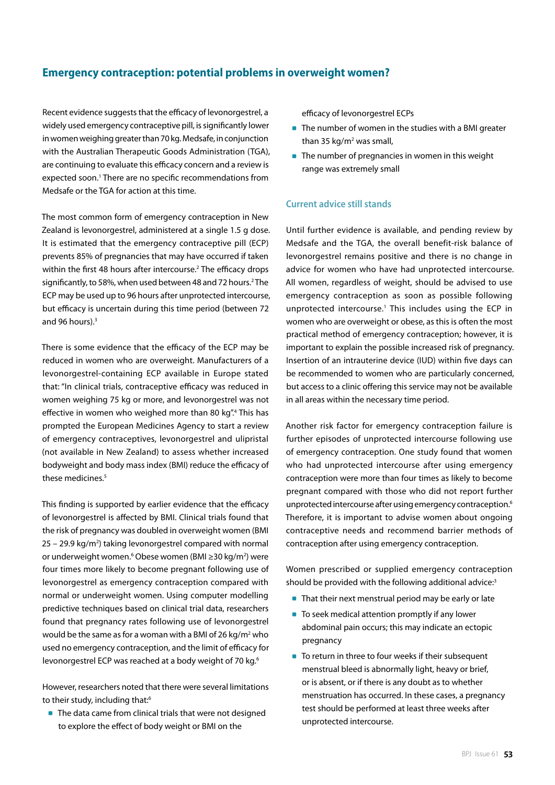# **Emergency contraception: potential problems in overweight women?**

Recent evidence suggests that the efficacy of levonorgestrel, a widely used emergency contraceptive pill, is significantly lower in women weighing greater than 70 kg. Medsafe, in conjunction with the Australian Therapeutic Goods Administration (TGA), are continuing to evaluate this efficacy concern and a review is expected soon.<sup>1</sup> There are no specific recommendations from Medsafe or the TGA for action at this time.

The most common form of emergency contraception in New Zealand is levonorgestrel, administered at a single 1.5 g dose. It is estimated that the emergency contraceptive pill (ECP) prevents 85% of pregnancies that may have occurred if taken within the first 48 hours after intercourse.<sup>2</sup> The efficacy drops significantly, to 58%, when used between 48 and 72 hours.<sup>2</sup> The ECP may be used up to 96 hours after unprotected intercourse, but efficacy is uncertain during this time period (between 72 and 96 hours).<sup>3</sup>

There is some evidence that the efficacy of the ECP may be reduced in women who are overweight. Manufacturers of a levonorgestrel-containing ECP available in Europe stated that: "In clinical trials, contraceptive efficacy was reduced in women weighing 75 kg or more, and levonorgestrel was not effective in women who weighed more than 80 kg".<sup>4</sup> This has prompted the European Medicines Agency to start a review of emergency contraceptives, levonorgestrel and ulipristal (not available in New Zealand) to assess whether increased bodyweight and body mass index (BMI) reduce the efficacy of these medicines.<sup>5</sup>

This finding is supported by earlier evidence that the efficacy of levonorgestrel is affected by BMI. Clinical trials found that the risk of pregnancy was doubled in overweight women (BMI  $25 - 29.9$  kg/m<sup>2</sup>) taking levonorgestrel compared with normal or underweight women.<sup>6</sup> Obese women (BMI ≥30 kg/m<sup>2</sup>) were four times more likely to become pregnant following use of levonorgestrel as emergency contraception compared with normal or underweight women. Using computer modelling predictive techniques based on clinical trial data, researchers found that pregnancy rates following use of levonorgestrel would be the same as for a woman with a BMI of 26 kg/m<sup>2</sup> who used no emergency contraception, and the limit of efficacy for levonorgestrel ECP was reached at a body weight of 70 kg.<sup>6</sup>

However, researchers noted that there were several limitations to their study, including that:<sup>6</sup>

■ The data came from clinical trials that were not designed to explore the effect of body weight or BMI on the

efficacy of levonorgestrel ECPs

- The number of women in the studies with a BMI greater than 35 kg/m<sup>2</sup> was small,
- **The number of pregnancies in women in this weight** range was extremely small

# **Current advice still stands**

Until further evidence is available, and pending review by Medsafe and the TGA, the overall benefit-risk balance of levonorgestrel remains positive and there is no change in advice for women who have had unprotected intercourse. All women, regardless of weight, should be advised to use emergency contraception as soon as possible following unprotected intercourse.<sup>1</sup> This includes using the ECP in women who are overweight or obese, as this is often the most practical method of emergency contraception; however, it is important to explain the possible increased risk of pregnancy. Insertion of an intrauterine device (IUD) within five days can be recommended to women who are particularly concerned, but access to a clinic offering this service may not be available in all areas within the necessary time period.

Another risk factor for emergency contraception failure is further episodes of unprotected intercourse following use of emergency contraception. One study found that women who had unprotected intercourse after using emergency contraception were more than four times as likely to become pregnant compared with those who did not report further unprotected intercourse after using emergency contraception.<sup>6</sup> Therefore, it is important to advise women about ongoing contraceptive needs and recommend barrier methods of contraception after using emergency contraception.

Women prescribed or supplied emergency contraception should be provided with the following additional advice:3

- That their next menstrual period may be early or late
- To seek medical attention promptly if any lower abdominal pain occurs; this may indicate an ectopic pregnancy
- To return in three to four weeks if their subsequent menstrual bleed is abnormally light, heavy or brief, or is absent, or if there is any doubt as to whether menstruation has occurred. In these cases, a pregnancy test should be performed at least three weeks after unprotected intercourse.